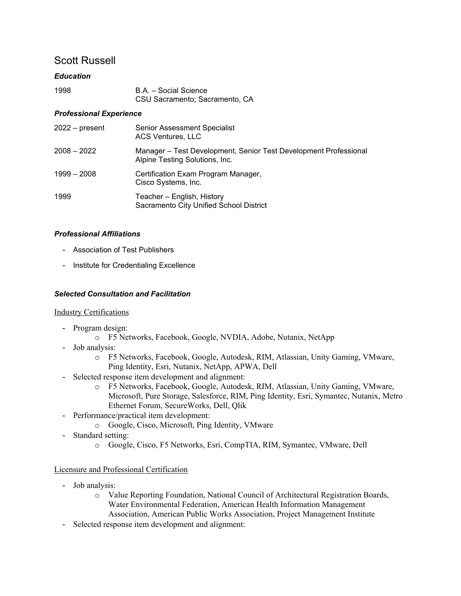# Scott Russell

# *Education*

| 1998 | B.A. - Social Science          |
|------|--------------------------------|
|      | CSU Sacramento; Sacramento, CA |

# *Professional Experience*

| $2022 - present$ | Senior Assessment Specialist<br><b>ACS Ventures, LLC</b>                                           |
|------------------|----------------------------------------------------------------------------------------------------|
| $2008 - 2022$    | Manager – Test Development, Senior Test Development Professional<br>Alpine Testing Solutions, Inc. |
| 1999 - 2008      | Certification Exam Program Manager,<br>Cisco Systems, Inc.                                         |
| 1999             | Teacher - English, History<br>Sacramento City Unified School District                              |

# *Professional Affiliations*

- Association of Test Publishers
- Institute for Credentialing Excellence

# *Selected Consultation and Facilitation*

#### Industry Certifications

- Program design:
	- o F5 Networks, Facebook, Google, NVDIA, Adobe, Nutanix, NetApp
- Job analysis:
	- o F5 Networks, Facebook, Google, Autodesk, RIM, Atlassian, Unity Gaming, VMware, Ping Identity, Esri, Nutanix, NetApp, APWA, Dell
- Selected response item development and alignment:
	- o F5 Networks, Facebook, Google, Autodesk, RIM, Atlassian, Unity Gaming, VMware, Microsoft, Pure Storage, Salesforce, RIM, Ping Identity, Esri, Symantec, Nutanix, Metro Ethernet Forum, SecureWorks, Dell, Qlik
- Performance/practical item development:
	- o Google, Cisco, Microsoft, Ping Identity, VMware
- Standard setting:
	- o Google, Cisco, F5 Networks, Esri, CompTIA, RIM, Symantec, VMware, Dell

#### Licensure and Professional Certification

- Job analysis:
	- o Value Reporting Foundation, National Council of Architectural Registration Boards, Water Environmental Federation, American Health Information Management Association, American Public Works Association, Project Management Institute
- Selected response item development and alignment: